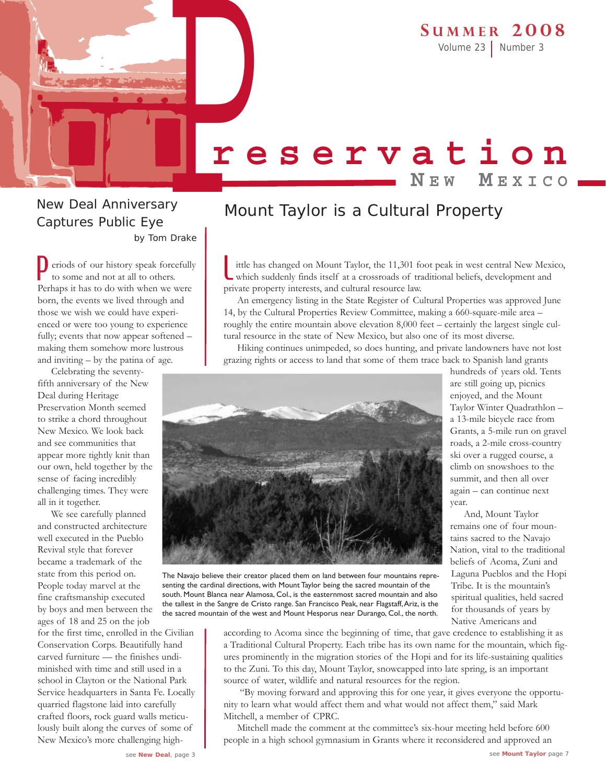Volume 23 Number 3

# P**reservation N E W M EXICO**

# New Deal Anniversary Captures Public Eye by Tom Drake

eriods of our history speak forcefully to some and not at all to others. Perhaps it has to do with when we were born, the events we lived through and those we wish we could have experienced or were too young to experience fully; events that now appear softened – making them somehow more lustrous and inviting – by the patina of age. P

Celebrating the seventyfifth anniversary of the New Deal during Heritage Preservation Month seemed to strike a chord throughout New Mexico. We look back and see communities that appear more tightly knit than our own, held together by the sense of facing incredibly challenging times. They were all in it together.

We see carefully planned and constructed architecture well executed in the Pueblo Revival style that forever became a trademark of the state from this period on. People today marvel at the fine craftsmanship executed by boys and men between the ages of 18 and 25 on the job

for the first time, enrolled in the Civilian Conservation Corps. Beautifully hand carved furniture — the finishes undiminished with time and still used in a school in Clayton or the National Park Service headquarters in Santa Fe. Locally quarried flagstone laid into carefully crafted floors, rock guard walls meticulously built along the curves of some of New Mexico's more challenging high-

# Mount Taylor is a Cultural Property

ittle has changed on Mount Taylor, the 11,301 foot peak in west central New Mexico, which suddenly finds itself at a crossroads of traditional beliefs, development and private property interests, and cultural resource law. L

An emergency listing in the State Register of Cultural Properties was approved June 14, by the Cultural Properties Review Committee, making a 660-square-mile area – roughly the entire mountain above elevation 8,000 feet – certainly the largest single cultural resource in the state of New Mexico, but also one of its most diverse.

Hiking continues unimpeded, so does hunting, and private landowners have not lost grazing rights or access to land that some of them trace back to Spanish land grants



hundreds of years old. Tents are still going up, picnics enjoyed, and the Mount Taylor Winter Quadrathlon – a 13-mile bicycle race from Grants, a 5-mile run on gravel roads, a 2-mile cross-country ski over a rugged course, a climb on snowshoes to the summit, and then all over again – can continue next year.

And, Mount Taylor remains one of four mountains sacred to the Navajo Nation, vital to the traditional beliefs of Acoma, Zuni and Laguna Pueblos and the Hopi Tribe. It is the mountain's spiritual qualities, held sacred for thousands of years by Native Americans and

The Navajo believe their creator placed them on land between four mountains representing the cardinal directions, with Mount Taylor being the sacred mountain of the south. Mount Blanca near Alamosa, Col., is the easternmost sacred mountain and also the tallest in the Sangre de Cristo range. San Francisco Peak, near Flagstaff,Ariz, is the the sacred mountain of the west and Mount Hesporus near Durango, Col., the north.

> according to Acoma since the beginning of time, that gave credence to establishing it as a Traditional Cultural Property. Each tribe has its own name for the mountain, which figures prominently in the migration stories of the Hopi and for its life-sustaining qualities to the Zuni. To this day, Mount Taylor, snowcapped into late spring, is an important source of water, wildlife and natural resources for the region.

"By moving forward and approving this for one year, it gives everyone the opportunity to learn what would affect them and what would not affect them," said Mark Mitchell, a member of CPRC.

Mitchell made the comment at the committee's six-hour meeting held before 600 people in a high school gymnasium in Grants where it reconsidered and approved an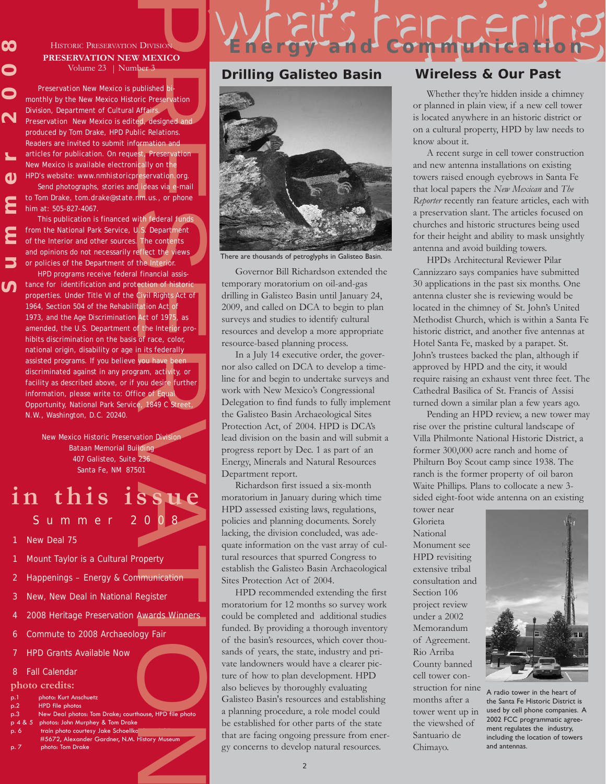# HISTORIC PRESERVATION DIVISION **PRESERVATION NEW MEXICO** Volume 23 | Number 3

**00** 

 $\mathbf \Omega$ 

 $\mathbf{z}$ 

ທ

**Summer 2008** *Preservation New Mexico* is published bimonthly by the New Mexico Historic Preservation Division, Department of Cultural Affairs.  $\mathbf N$ **Preservation New Mexico is edited, designed and** produced by Tom Drake, HPD Public Relations. Readers are invited to submit information and articles for publication. On request, *Preservation New Mexico* is available electronically on the HPD's website: *www.nmhistoricpreservation.org*.  $\mathbf{\Omega}$ 

Send photographs, stories and ideas via e-mail to Tom Drake, *tom.drake@state.nm.us*., or phone him at: 505-827-4067.

This publication is financed with federal funds from the National Park Service, U.S. Department of the Interior and other sources. The contents and opinions do not necessarily reflect the views or policies of the Department of the Interior.

DIVISION<br>
MEXICO<br>
Der 3<br>
ublished bi-<br>
ublished bi-<br>
mic Preservation<br>
Affairs<br>
and dissigned and<br>
Affairs<br>
ed, designed and<br>
normation and<br>
the reservation org.<br>
ideas via e-mail<br>
nm.us., or phone<br>
ith federal funds<br>
1.5, HPD programs receive federal financial assistance for identification and protection of historic properties. Under Title VI of the Civil Rights Act of 1964, Section 504 of the Rehabilitation Act of 1973, and the Age Discrimination Act of 1975, as amended, the U.S. Department of the Interior prohibits discrimination on the basis of race, color, national origin, disability or age in its federally assisted programs. If you believe you have been discriminated against in any program, activity, or facility as described above, or if you desire further information, please write to: Office of Equal Opportunity, National Park Service, 1849 C Street, N.W., Washington, D.C. 20240.

New Mexico Historic Preservation Division Bataan Memorial Building 407 Galisteo, Suite 236 Santa Fe, NM 87501

# **in this issue** Summer 2008

- New Deal 75
- Mount Taylor is a Cultural Property
- 2 Happenings Energy & Communication
- 3 New, New Deal in National Register
- 2008 Heritage Preservation Awards Winners
- 6 Commute to 2008 Archaeology Fair
- **HPD Grants Available Now**
- 8 Fall Calendar
- **photo credits:**
- p.1 photo: Kurt Anschuetz
- p.2 HPD file photos
- p.3 New Deal photos: Tom Drake; courthouse, HPD file photo p 4 & 5 photos: John Murphey & Tom Drake
- train photo courtesy Jake Schoellko
- #5672, Alexander Gardner, N.M. History Museum photo: Tom Drake

# **Drilling Galisteo Basin Wireless & Our Past**



There are thousands of petroglyphs in Galisteo Basin.

Governor Bill Richardson extended the temporary moratorium on oil-and-gas drilling in Galisteo Basin until January 24, 2009, and called on DCA to begin to plan surveys and studies to identify cultural resources and develop a more appropriate resource-based planning process.

In a July 14 executive order, the governor also called on DCA to develop a timeline for and begin to undertake surveys and work with New Mexico's Congressional Delegation to find funds to fully implement the Galisteo Basin Archaeological Sites Protection Act, of 2004. HPD is DCA's lead division on the basin and will submit a progress report by Dec. 1 as part of an Energy, Minerals and Natural Resources Department report.

Richardson first issued a six-month moratorium in January during which time HPD assessed existing laws, regulations, policies and planning documents. Sorely lacking, the division concluded, was adequate information on the vast array of cultural resources that spurred Congress to establish the Galisteo Basin Archaeological Sites Protection Act of 2004.

HPD recommended extending the first moratorium for 12 months so survey work could be completed and additional studies funded. By providing a thorough inventory of the basin's resources, which cover thousands of years, the state, industry and private landowners would have a clearer picture of how to plan development. HPD also believes by thoroughly evaluating Galisteo Basin's resources and establishing a planning procedure, a role model could be established for other parts of the state that are facing ongoing pressure from energy concerns to develop natural resources.

what communication

Whether they're hidden inside a chimney or planned in plain view, if a new cell tower is located anywhere in an historic district or on a cultural property, HPD by law needs to know about it.

A recent surge in cell tower construction and new antenna installations on existing towers raised enough eyebrows in Santa Fe that local papers the *New Mexican* and *The Reporter* recently ran feature articles, each with a preservation slant. The articles focused on churches and historic structures being used for their height and ability to mask unsightly antenna and avoid building towers.

HPDs Architectural Reviewer Pilar Cannizzaro says companies have submitted 30 applications in the past six months. One antenna cluster she is reviewing would be located in the chimney of St. John's United Methodist Church, which is within a Santa Fe historic district, and another five antennas at Hotel Santa Fe, masked by a parapet. St. John's trustees backed the plan, although if approved by HPD and the city, it would require raising an exhaust vent three feet. The Cathedral Basilica of St. Francis of Assisi turned down a similar plan a few years ago.

Pending an HPD review, a new tower may rise over the pristine cultural landscape of Villa Philmonte National Historic District, a former 300,000 acre ranch and home of Philturn Boy Scout camp since 1938. The ranch is the former property of oil baron Waite Phillips. Plans to collocate a new 3 sided eight-foot wide antenna on an existing

tower near Glorieta National Monument see HPD revisiting extensive tribal consultation and Section 106 project review under a 2002 Memorandum of Agreement. Rio Arriba County banned cell tower construction for nine months after a tower went up in the viewshed of Santuario de Chimayo.



A radio tower in the heart of the Santa Fe Historic District is used by cell phone companies. A 2002 FCC programmatic agreement regulates the industry, including the location of towers and antennas.

 $\overline{2}$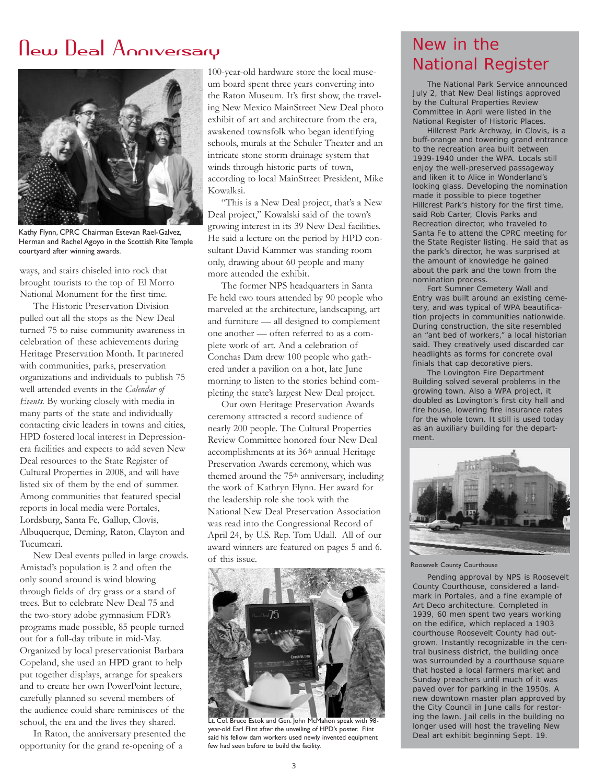# New Deal Anniversary



Kathy Flynn, CPRC Chairman Estevan Rael-Galvez, Herman and Rachel Agoyo in the Scottish Rite Temple courtyard after winning awards.

ways, and stairs chiseled into rock that brought tourists to the top of El Morro National Monument for the first time.

The Historic Preservation Division pulled out all the stops as the New Deal turned 75 to raise community awareness in celebration of these achievements during Heritage Preservation Month. It partnered with communities, parks, preservation organizations and individuals to publish 75 well attended events in the *Calendar of Events.* By working closely with media in many parts of the state and individually contacting civic leaders in towns and cities, HPD fostered local interest in Depressionera facilities and expects to add seven New Deal resources to the State Register of Cultural Properties in 2008, and will have listed six of them by the end of summer. Among communities that featured special reports in local media were Portales, Lordsburg, Santa Fe, Gallup, Clovis, Albuquerque, Deming, Raton, Clayton and Tucumcari.

New Deal events pulled in large crowds. Amistad's population is 2 and often the only sound around is wind blowing through fields of dry grass or a stand of trees. But to celebrate New Deal 75 and the two-story adobe gymnasium FDR's programs made possible, 85 people turned out for a full-day tribute in mid-May. Organized by local preservationist Barbara Copeland, she used an HPD grant to help put together displays, arrange for speakers and to create her own PowerPoint lecture, carefully planned so several members of the audience could share reminisces of the school, the era and the lives they shared.

In Raton, the anniversary presented the opportunity for the grand re-opening of a

100-year-old hardware store the local museum board spent three years converting into the Raton Museum. It's first show, the traveling New Mexico MainStreet New Deal photo exhibit of art and architecture from the era, awakened townsfolk who began identifying schools, murals at the Schuler Theater and an intricate stone storm drainage system that winds through historic parts of town, according to local MainStreet President, Mike Kowalksi.

"This is a New Deal project, that's a New Deal project," Kowalski said of the town's growing interest in its 39 New Deal facilities. He said a lecture on the period by HPD consultant David Kammer was standing room only, drawing about 60 people and many more attended the exhibit.

The former NPS headquarters in Santa Fe held two tours attended by 90 people who marveled at the architecture, landscaping, art and furniture — all designed to complement one another — often referred to as a complete work of art. And a celebration of Conchas Dam drew 100 people who gathered under a pavilion on a hot, late June morning to listen to the stories behind completing the state's largest New Deal project.

Our own Heritage Preservation Awards ceremony attracted a record audience of nearly 200 people. The Cultural Properties Review Committee honored four New Deal accomplishments at its 36th annual Heritage Preservation Awards ceremony, which was themed around the 75th anniversary, including the work of Kathryn Flynn. Her award for the leadership role she took with the National New Deal Preservation Association was read into the Congressional Record of April 24, by U.S. Rep. Tom Udall. All of our award winners are featured on pages 5 and 6. of this issue.



Lt. Col. Bruce Estok and Gen. John McMahon speak with 98 year-old Earl Flint after the unveiling of HPD's poster. Flint said his fellow dam workers used newly invented equipment few had seen before to build the facility.

# New in the National Register

The National Park Service announced July 2, that New Deal listings approved by the Cultural Properties Review Committee in April were listed in the National Register of Historic Places.

Hillcrest Park Archway, in Clovis, is a buff-orange and towering grand entrance to the recreation area built between 1939-1940 under the WPA. Locals still enjoy the well-preserved passageway and liken it to Alice in Wonderland's looking glass. Developing the nomination made it possible to piece together Hillcrest Park's history for the first time, said Rob Carter, Clovis Parks and Recreation director, who traveled to Santa Fe to attend the CPRC meeting for the State Register listing. He said that as the park's director, he was surprised at the amount of knowledge he gained about the park and the town from the nomination process.

Fort Sumner Cemetery Wall and Entry was built around an existing cemetery, and was typical of WPA beautification projects in communities nationwide. During construction, the site resembled an "ant bed of workers," a local historian said. They creatively used discarded car headlights as forms for concrete oval finials that cap decorative piers.

The Lovington Fire Department Building solved several problems in the growing town. Also a WPA project, it doubled as Lovington's first city hall and fire house, lowering fire insurance rates for the whole town. It still is used today as an auxiliary building for the department.



Roosevelt County Courthouse

Pending approval by NPS is Roosevelt County Courthouse, considered a landmark in Portales, and a fine example of Art Deco architecture. Completed in 1939, 60 men spent two years working on the edifice, which replaced a 1903 courthouse Roosevelt County had outgrown. Instantly recognizable in the central business district, the building once was surrounded by a courthouse square that hosted a local farmers market and Sunday preachers until much of it was paved over for parking in the 1950s. A new downtown master plan approved by the City Council in June calls for restoring the lawn. Jail cells in the building no longer used will host the traveling New Deal art exhibit beginning Sept. 19.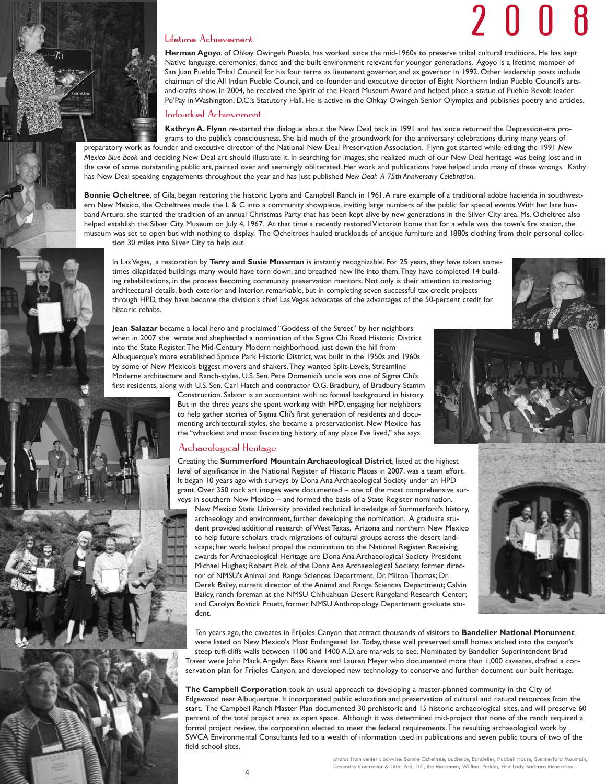# 2 0 0 8



**Herman Agoyo**, of Ohkay Owingeh Pueblo, has worked since the mid-1960s to preserve tribal cultural traditions. He has kept Native language, ceremonies, dance and the built environment relevant for younger generations. Agoyo is a lifetime member of San Juan Pueblo Tribal Council for his four terms as lieutenant governor, and as governor in 1992. Other leadership posts include chairman of the All Indian Pueblo Council, and co-founder and executive director of Eight Northern Indian Pueblo Council's artsand-crafts show. In 2004, he received the Spirit of the Heard Museum Award and helped place a statue of Pueblo Revolt leader Po'Pay in Washington, D.C.'s Statutory Hall. He is active in the Ohkay Owingeh Senior Olympics and publishes poetry and articles.

# Individual Achievement

**Kathryn A. Flynn** re-started the dialogue about the New Deal back in 1991 and has since returned the Depression-era programs to the public's consciousness. She laid much of the groundwork for the anniversary celebrations during many years of preparatory work as founder and executive director of the National New Deal Preservation Association. Flynn got started while editing the 1991 *New Mexico Blue Book* and deciding New Deal art should illustrate it. In searching for images, she realized much of our New Deal heritage was being lost and in the case of some outstanding public art, painted over and seemingly obliterated. Her work and publications have helped undo many of these wrongs. Kathy has New Deal speaking engagements throughout the year and has just published *New Deal: A 75th Anniversary Celebration*.

**Bonnie Ocheltree**, of Gila, began restoring the historic Lyons and Campbell Ranch in 1961.A rare example of a traditional adobe hacienda in southwestern New Mexico, the Ocheltrees made the L & C into a community showpiece, inviting large numbers of the public for special events. With her late husband Arturo, she started the tradition of an annual Christmas Party that has been kept alive by new generations in the Silver City area. Ms. Ocheltree also helped establish the Silver City Museum on July 4, 1967. At that time a recently restored Victorian home that for a while was the town's fire station, the museum was set to open but with nothing to display. The Ocheltrees hauled truckloads of antique furniture and 1880s clothing from their personal collec-

tion 30 miles into Silver City to help out.

In Las Vegas, a restoration by **Terry and Susie Mossman** is instantly recognizable. For 25 years, they have taken sometimes dilapidated buildings many would have torn down, and breathed new life into them.They have completed 14 building rehabilitations, in the process becoming community preservation mentors. Not only is their attention to restoring architectural details, both exterior and interior, remarkable, but in completing seven successful tax credit projects through HPD, they have become the division's chief Las Vegas advocates of the advantages of the 50-percent credit for historic rehabs.

**Jean Salazar** became a local hero and proclaimed "Goddess of the Street" by her neighbors when in 2007 she wrote and shepherded a nomination of the Sigma Chi Road Historic District into the State Register.The Mid-Century Modern neighborhood, just down the hill from Albuquerque's more established Spruce Park Historic District, was built in the 1950s and 1960s by some of New Mexico's biggest movers and shakers.They wanted Split-Levels, Streamline Moderne architecture and Ranch-styles. U.S. Sen. Pete Domenici's uncle was one of Sigma Chi's first residents, along with U.S. Sen. Carl Hatch and contractor O.G. Bradbury, of Bradbury Stamm

Construction. Salazar is an accountant with no formal background in history. But in the three years she spent working with HPD, engaging her neighbors to help gather stories of Sigma Chi's first generation of residents and documenting architectural styles, she became a preservationist. New Mexico has the "whackiest and most fascinating history of any place I've lived," she says.

# Archaeological Heritage

Creating the **Summerford Mountain Archaeological District**, listed at the highest level of significance in the National Register of Historic Places in 2007, was a team effort. It began 10 years ago with surveys by Dona Ana Archaeological Society under an HPD grant. Over 350 rock art images were documented – one of the most comprehensive surveys in southern New Mexico – and formed the basis of a State Register nomination.

New Mexico State University provided technical knowledge of Summerford's history, archaeology and environment, further developing the nomination. A graduate student provided additional research of West Texas, Arizona and northern New Mexico to help future scholars track migrations of cultural groups across the desert landscape; her work helped propel the nomination to the National Register. Receiving awards for Archaeological Heritage are Dona Ana Archaeological Society President Michael Hughes; Robert Pick, of the Dona Ana Archaeological Society; former director of NMSU's Animal and Range Sciences Department, Dr. Milton Thomas; Dr. Derek Bailey, current director of the Animal and Range Sciences Department; Calvin Bailey, ranch foreman at the NMSU Chihuahuan Desert Rangeland Research Center; and Carolyn Bostick Pruett, former NMSU Anthropology Department graduate student.



Ten years ago, the caveates in Frijoles Canyon that attract thousands of visitors to **Bandelier National Monument** were listed on New Mexico's Most Endangered list.Today, these well preserved small homes etched into the canyon's steep tuff-cliffs walls between 1100 and 1400 A.D. are marvels to see. Nominated by Bandelier Superintendent Brad Traver were John Mack,Angelyn Bass Rivera and Lauren Meyer who documented more than 1,000 caveates, drafted a conservation plan for Frijoles Canyon, and developed new technology to conserve and further document our built heritage.

**The Campbell Corporation** took an usual approach to developing a master-planned community in the City of Edgewood near Albuquerque. It incorporated public education and preservation of cultural and natural resources from the start. The Campbell Ranch Master Plan documented 30 prehistoric and 15 historic archaeological sites, and will preserve 60 percent of the total project area as open space. Although it was determined mid-project that none of the ranch required a formal project review, the corporation elected to meet the federal requirements.The resulting archaeological work by SWCA Environmental Consultants led to a wealth of information used in publications and seven public tours of two of the field school sites.









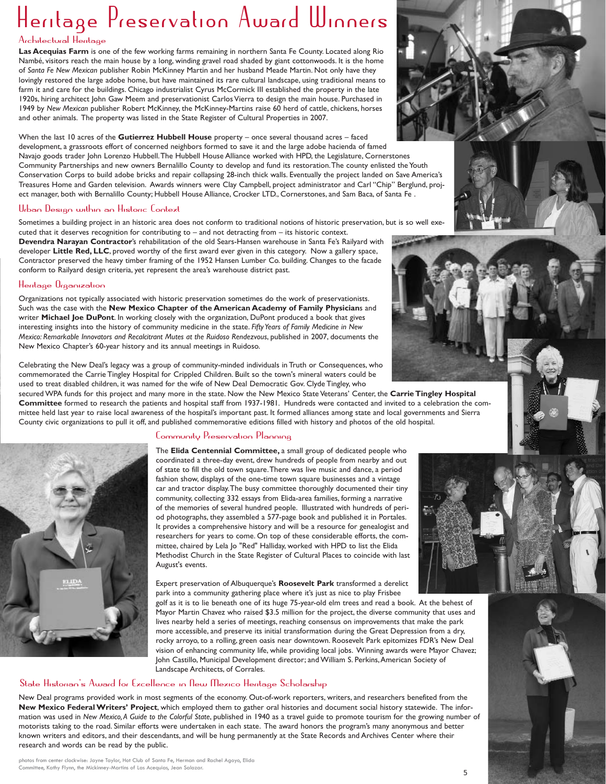# Heritage Preservation Award Winners

# Architectural Heritage

**Las Acequias Farm** is one of the few working farms remaining in northern Santa Fe County. Located along Rio Nambé, visitors reach the main house by a long, winding gravel road shaded by giant cottonwoods. It is the home of *Santa Fe New Mexican* publisher Robin McKinney Martin and her husband Meade Martin. Not only have they lovingly restored the large adobe home, but have maintained its rare cultural landscape, using traditional means to farm it and care for the buildings. Chicago industrialist Cyrus McCormick III established the property in the late 1920s, hiring architect John Gaw Meem and preservationist Carlos Vierra to design the main house. Purchased in 1949 by *New Mexican* publisher Robert McKinney, the McKinney-Martins raise 60 herd of cattle, chickens, horses and other animals. The property was listed in the State Register of Cultural Properties in 2007.

When the last 10 acres of the **Gutierrez Hubbell House** property – once several thousand acres – faced development, a grassroots effort of concerned neighbors formed to save it and the large adobe hacienda of famed Navajo goods trader John Lorenzo Hubbell.The Hubbell House Alliance worked with HPD, the Legislature, Cornerstones Community Partnerships and new owners Bernalillo County to develop and fund its restoration.The county enlisted the Youth Conservation Corps to build adobe bricks and repair collapsing 28-inch thick walls. Eventually the project landed on Save America's Treasures Home and Garden television. Awards winners were Clay Campbell, project administrator and Carl "Chip" Berglund, project manager, both with Bernalillo County; Hubbell House Alliance, Crocker LTD., Cornerstones, and Sam Baca, of Santa Fe .

# Urban Design within an Historic Context

Sometimes a building project in an historic area does not conform to traditional notions of historic preservation, but is so well exe-

cuted that it deserves recognition for contributing to – and not detracting from – its historic context. **Devendra Narayan Contractor**'s rehabilitation of the old Sears-Hansen warehouse in Santa Fe's Railyard with developer **Little Red, LLC**, proved worthy of the first award ever given in this category. Now a gallery space, Contractor preserved the heavy timber framing of the 1952 Hansen Lumber Co. building. Changes to the facade conform to Railyard design criteria, yet represent the area's warehouse district past.

# Heritage Organization

Organizations not typically associated with historic preservation sometimes do the work of preservationists. Such was the case with the **New Mexico Chapter of the American Academy of Family Physician**s and writer **Michael Joe DuPont**. In working closely with the organization, DuPont produced a book that gives interesting insights into the history of community medicine in the state. *Fifty Years of Family Medicine in New Mexico: Remarkable Innovators and Recalcitrant Mutes at the Ruidoso Rendezvous*, published in 2007, documents the New Mexico Chapter's 60-year history and its annual meetings in Ruidoso.

Celebrating the New Deal's legacy was a group of community-minded individuals in Truth or Consequences, who commemorated the Carrie Tingley Hospital for Crippled Children. Built so the town's mineral waters could be used to treat disabled children, it was named for the wife of New Deal Democratic Gov. Clyde Tingley, who

secured WPA funds for this project and many more in the state. Now the New Mexico State Veterans' Center, the **Carrie Tingley Hospital Committee** formed to research the patients and hospital staff from 1937-1981. Hundreds were contacted and invited to a celebration the committee held last year to raise local awareness of the hospital's important past. It formed alliances among state and local governments and Sierra County civic organizations to pull it off, and published commemorative editions filled with history and photos of the old hospital.



# Community Preservation Planning

The **Elida Centennial Committee,** a small group of dedicated people who coordinated a three-day event, drew hundreds of people from nearby and out of state to fill the old town square.There was live music and dance, a period fashion show, displays of the one-time town square businesses and a vintage car and tractor display.The busy committee thoroughly documented their tiny community, collecting 332 essays from Elida-area families, forming a narrative of the memories of several hundred people. Illustrated with hundreds of period photographs, they assembled a 577-page book and published it in Portales. It provides a comprehensive history and will be a resource for genealogist and researchers for years to come. On top of these considerable efforts, the committee, chaired by Lela Jo "Red" Halliday, worked with HPD to list the Elida Methodist Church in the State Register of Cultural Places to coincide with last August's events.

Expert preservation of Albuquerque's **Roosevelt Park** transformed a derelict park into a community gathering place where it's just as nice to play Frisbee

golf as it is to lie beneath one of its huge 75-year-old elm trees and read a book. At the behest of Mayor Martin Chavez who raised \$3.5 million for the project, the diverse community that uses and lives nearby held a series of meetings, reaching consensus on improvements that make the park more accessible, and preserve its initial transformation during the Great Depression from a dry, rocky arroyo, to a rolling, green oasis near downtown. Roosevelt Park epitomizes FDR's New Deal vision of enhancing community life, while providing local jobs. Winning awards were Mayor Chavez; John Castillo, Municipal Development director; and William S. Perkins, American Society of Landscape Architects, of Corrales.

# State Historian's Award for Excellence in New Mexico Heritage Scholarship

New Deal programs provided work in most segments of the economy. Out-of-work reporters, writers, and researchers benefited from the **New Mexico Federal Writers' Project**, which employed them to gather oral histories and document social history statewide. The information was used in *New Mexico,A Guide to the Colorful State*, published in 1940 as a travel guide to promote tourism for the growing number of motorists taking to the road. Similar efforts were undertaken in each state. The award honors the program's many anonymous and better known writers and editors, and their descendants, and will be hung permanently at the State Records and Archives Center where their research and words can be read by the public.









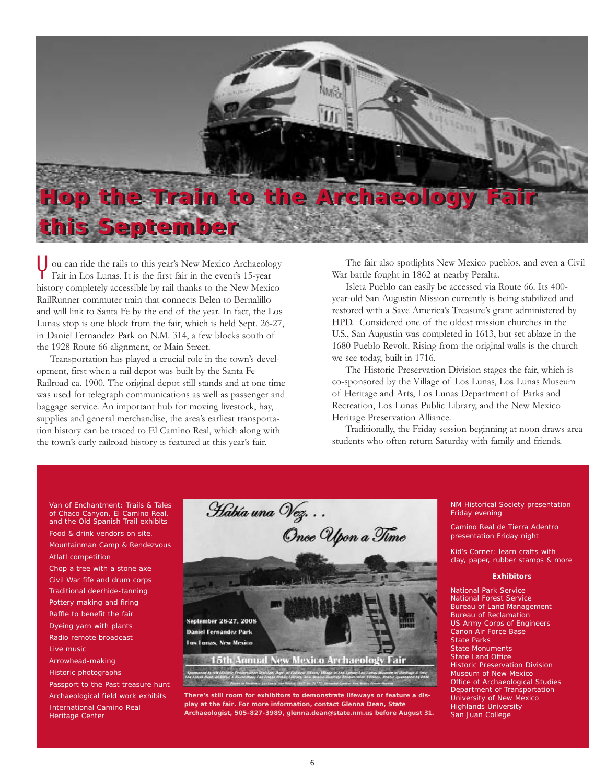

ou can ride the rails to this year's New Mexico Archaeology The fair also spotlights New Mexico pueblos, and even a Civil<br>Fair in Los Lunas. It is the first fair in the event's 15-year War battle fought in 1862 at nearby P Fair in Los Lunas. It is the first fair in the event's 15-year history completely accessible by rail thanks to the New Mexico RailRunner commuter train that connects Belen to Bernalillo and will link to Santa Fe by the end of the year. In fact, the Los Lunas stop is one block from the fair, which is held Sept. 26-27, in Daniel Fernandez Park on N.M. 314, a few blocks south of the 1928 Route 66 alignment, or Main Street.

Transportation has played a crucial role in the town's development, first when a rail depot was built by the Santa Fe Railroad ca. 1900. The original depot still stands and at one time was used for telegraph communications as well as passenger and baggage service. An important hub for moving livestock, hay, supplies and general merchandise, the area's earliest transportation history can be traced to El Camino Real, which along with the town's early railroad history is featured at this year's fair.

War battle fought in 1862 at nearby Peralta.

Isleta Pueblo can easily be accessed via Route 66. Its 400 year-old San Augustin Mission currently is being stabilized and restored with a Save America's Treasure's grant administered by HPD. Considered one of the oldest mission churches in the U.S., San Augustin was completed in 1613, but set ablaze in the 1680 Pueblo Revolt. Rising from the original walls is the church we see today, built in 1716.

The Historic Preservation Division stages the fair, which is co-sponsored by the Village of Los Lunas, Los Lunas Museum of Heritage and Arts, Los Lunas Department of Parks and Recreation, Los Lunas Public Library, and the New Mexico Heritage Preservation Alliance.

Traditionally, the Friday session beginning at noon draws area students who often return Saturday with family and friends.

Van of Enchantment: Trails & Tales of Chaco Canyon, El Camino Real, and the Old Spanish Trail exhibits Food & drink vendors on site. Mountainman Camp & Rendezvous Atlatl competition Chop a tree with a stone axe Civil War fife and drum corps Traditional deerhide-tanning Pottery making and firing Raffle to benefit the fair Dyeing yarn with plants Radio remote broadcast Live music Arrowhead-making Historic photographs Passport to the Past treasure hunt Archaeological field work exhibits International Camino Real

Heritage Center



**There's still room for exhibitors to demonstrate lifeways or feature a display at the fair. For more information, contact Glenna Dean, State Archaeologist, 505-827-3989, glenna.dean@state.nm.us before August 31.**

NM Historical Society presentation Friday evening

Camino Real de Tierra Adentro presentation Friday night

Kid's Corner: learn crafts with clay, paper, rubber stamps & more

### **Exhibitors**

National Park Service National Forest Service Bureau of Land Management Bureau of Reclamation US Army Corps of Engineers Canon Air Force Base State Parks State Monuments State Land Office Historic Preservation Division Museum of New Mexico Office of Archaeological Studies Department of Transportation University of New Mexico Highlands University San Juan College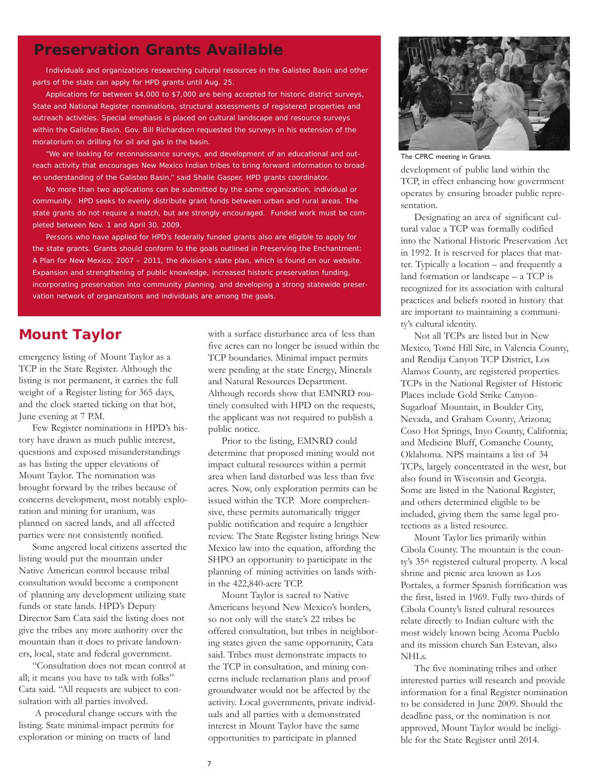# **Preservation Grants Available**

Individuals and organizations researching cultural resources in the Galisteo Basin and other parts of the state can apply for HPD grants until Aug. 25.

Applications for between \$4,000 to \$7,000 are being accepted for historic district surveys, State and National Register nominations, structural assessments of registered properties and outreach activities. Special emphasis is placed on cultural landscape and resource surveys within the Galisteo Basin. Gov. Bill Richardson requested the surveys in his extension of the moratorium on drilling for oil and gas in the basin.

"We are looking for reconnaissance surveys, and development of an educational and outreach activity that encourages New Mexico Indian tribes to bring forward information to broaden understanding of the Galisteo Basin," said Shalie Gasper, HPD grants coordinator.

No more than two applications can be submitted by the same organization, individual or community. HPD seeks to evenly distribute grant funds between urban and rural areas. The state grants do not require a match, but are strongly encouraged. Funded work must be completed between Nov. 1 and April 30, 2009.

Persons who have applied for HPD's federally funded grants also are eligible to apply for the state grants. Grants should conform to the goals outlined in *Preserving the Enchantment: A Plan for New Mexico, 2007 – 2011*, the division's state plan, which is found on our website. Expansion and strengthening of public knowledge, increased historic preservation funding, incorporating preservation into community planning, and developing a strong statewide preservation network of organizations and individuals are among the goals.

# **Mount Taylor**

emergency listing of Mount Taylor as a TCP in the State Register. Although the listing is not permanent, it carries the full weight of a Register listing for 365 days, and the clock started ticking on that hot, June evening at 7 P.M.

Few Register nominations in HPD's history have drawn as much public interest, questions and exposed misunderstandings as has listing the upper elevations of Mount Taylor. The nomination was brought forward by the tribes because of concerns development, most notably exploration and mining for uranium, was planned on sacred lands, and all affected parties were not consistently notified.

Some angered local citizens asserted the listing would put the mountain under Native American control because tribal consultation would become a component of planning any development utilizing state funds or state lands. HPD's Deputy Director Sam Cata said the listing does not give the tribes any more authority over the mountain than it does to private landowners, local, state and federal government.

"Consultation does not mean control at all; it means you have to talk with folks" Cata said. "All requests are subject to consultation with all parties involved.

A procedural change occurs with the listing. State minimal-impact permits for exploration or mining on tracts of land

with a surface disturbance area of less than five acres can no longer be issued within the TCP boundaries. Minimal impact permits were pending at the state Energy, Minerals and Natural Resources Department. Although records show that EMNRD routinely consulted with HPD on the requests, the applicant was not required to publish a public notice.

Prior to the listing, EMNRD could determine that proposed mining would not impact cultural resources within a permit area when land disturbed was less than five acres. Now, only exploration permits can be issued within the TCP. More comprehensive, these permits automatically trigger public notification and require a lengthier review. The State Register listing brings New Mexico law into the equation, affording the SHPO an opportunity to participate in the planning of mining activities on lands within the 422,840-acre TCP.

Mount Taylor is sacred to Native Americans beyond New Mexico's borders, so not only will the state's 22 tribes be offered consultation, but tribes in neighboring states given the same opportunity, Cata said. Tribes must demonstrate impacts to the TCP in consultation, and mining concerns include reclamation plans and proof groundwater would not be affected by the activity. Local governments, private individuals and all parties with a demonstrated interest in Mount Taylor have the same opportunities to participate in planned



The CPRC meeting in Grants.

development of public land within the TCP, in effect enhancing how government operates by ensuring broader public representation.

Designating an area of significant cultural value a TCP was formally codified into the National Historic Preservation Act in 1992. It is reserved for places that matter. Typically a location – and frequently a land formation or landscape – a TCP is recognized for its association with cultural practices and beliefs rooted in history that are important to maintaining a community's cultural identity.

Not all TCPs are listed but in New Mexico, Tomé Hill Site, in Valencia County, and Rendija Canyon TCP District, Los Alamos County, are registered properties. TCPs in the National Register of Historic Places include Gold Strike Canyon-Sugarloaf Mountain, in Boulder City, Nevada, and Graham County, Arizona; Coso Hot Springs, Inyo County, California; and Medicine Bluff, Comanche County, Oklahoma. NPS maintains a list of 34 TCPs, largely concentrated in the west, but also found in Wisconsin and Georgia. Some are listed in the National Register, and others determined eligible to be included, giving them the same legal protections as a listed resource.

Mount Taylor lies primarily within Cibola County. The mountain is the county's 35th registered cultural property. A local shrine and picnic area known as Los Portales, a former Spanish fortification was the first, listed in 1969. Fully two-thirds of Cibola County's listed cultural resources relate directly to Indian culture with the most widely known being Acoma Pueblo and its mission church San Estevan, also NHLs.

The five nominating tribes and other interested parties will research and provide information for a final Register nomination to be considered in June 2009. Should the deadline pass, or the nomination is not approved, Mount Taylor would be ineligible for the State Register until 2014.